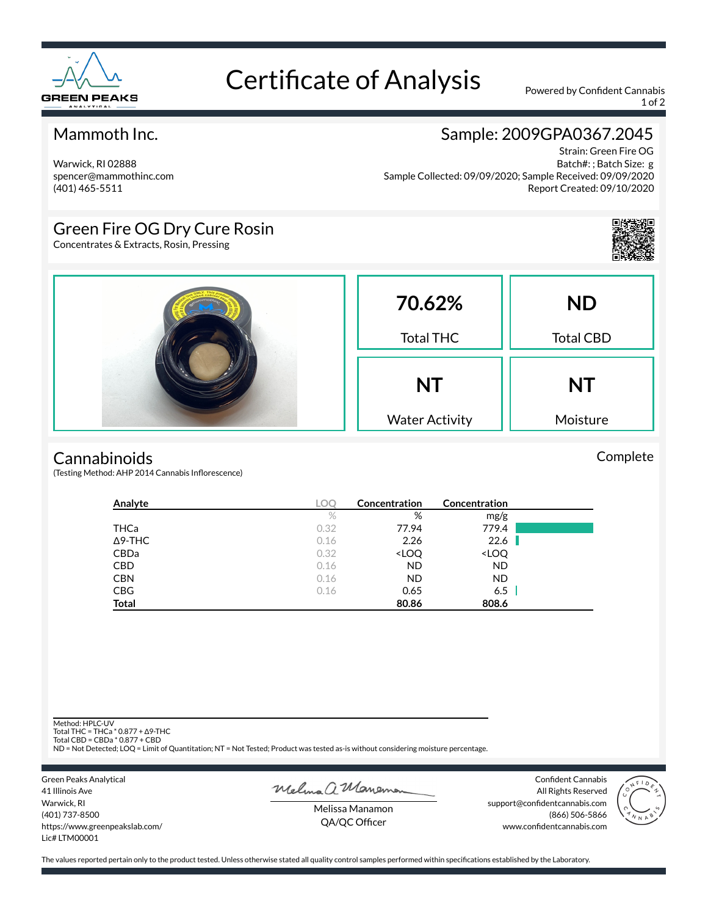

# Certificate of Analysis Powered by Confident Cannabis

1 of 2

## Mammoth Inc.

Warwick, RI 02888 spencer@mammothinc.com (401) 465-5511

## Sample: 2009GPA0367.2045

Strain: Green Fire OG Batch#: ; Batch Size: g Sample Collected: 09/09/2020; Sample Received: 09/09/2020 Report Created: 09/10/2020

## Green Fire OG Dry Cure Rosin

Concentrates & Extracts, Rosin, Pressing



Complete



#### **Cannabinoids**

(Testing Method: AHP 2014 Cannabis Inflorescence)

| Analyte        | <b>LOC</b> | Concentration                                            | Concentration                |  |
|----------------|------------|----------------------------------------------------------|------------------------------|--|
|                | $\%$       | %                                                        | mg/g                         |  |
| <b>THCa</b>    | 0.32       | 77.94                                                    | 779.4                        |  |
| $\Delta$ 9-THC | 0.16       | 2.26                                                     | 22.6                         |  |
| CBDa           | 0.32       | <loq< td=""><td><loq< td=""><td></td></loq<></td></loq<> | <loq< td=""><td></td></loq<> |  |
| <b>CBD</b>     | 0.16       | <b>ND</b>                                                | <b>ND</b>                    |  |
| <b>CBN</b>     | 0.16       | <b>ND</b>                                                | <b>ND</b>                    |  |
| <b>CBG</b>     | 0.16       | 0.65                                                     | 6.5                          |  |
| <b>Total</b>   |            | 80.86                                                    | 808.6                        |  |

Method: HPLC-UV

Total THC = THCa \* 0.877 + ∆9-THC Total CBD = CBDa \* 0.877 + CBD

ND = Not Detected; LOQ = Limit of Quantitation; NT = Not Tested; Product was tested as-is without considering moisture percentage.

Green Peaks Analytical 41 Illinois Ave Warwick, RI (401) 737-8500 https://www.greenpeakslab.com/ Lic# LTM00001

Melma a Maneman

Confident Cannabis All Rights Reserved support@confidentcannabis.com (866) 506-5866 www.confidentcannabis.com



Melissa Manamon QA/QC Officer

The values reported pertain only to the product tested. Unless otherwise stated all quality control samples performed within specifications established by the Laboratory.